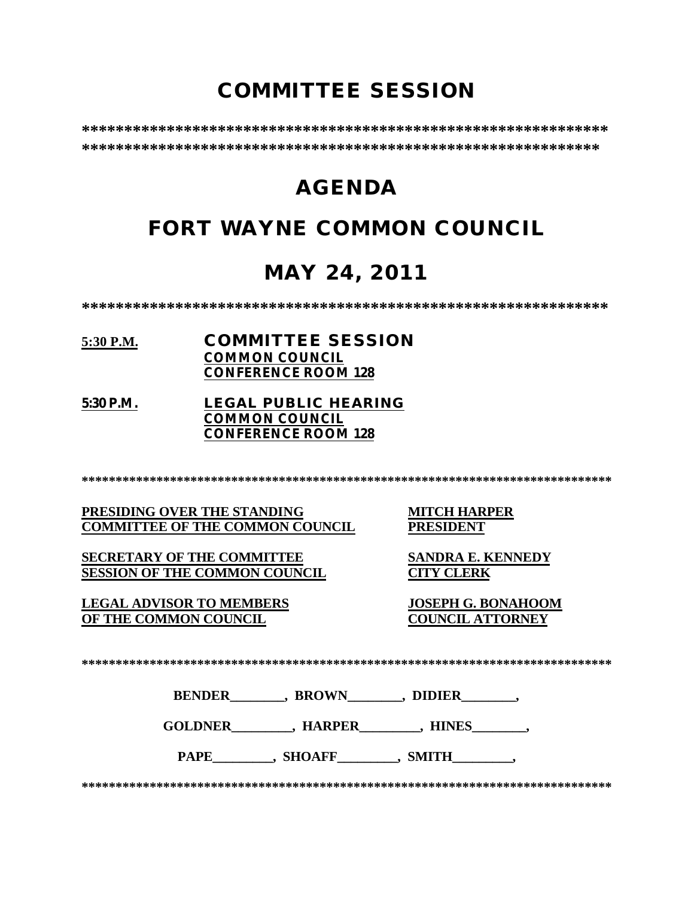# **COMMITTEE SESSION**

**\*\*\*\*\*\*\*\*\*\*\*\*\*\*\*\*\*\*\*\*\*\*\*\*\*\*\*\*\*\*\*\*\*\*\*\*\*\*\*\*\*\*\*\*\*\*\*\*\*\*\*\*\*\*\*\*\*\*\*\*\*\* \*\*\*\*\*\*\*\*\*\*\*\*\*\*\*\*\*\*\*\*\*\*\*\*\*\*\*\*\*\*\*\*\*\*\*\*\*\*\*\*\*\*\*\*\*\*\*\*\*\*\*\*\*\*\*\*\*\*\*\*\***

# **AGENDA**

# **FORT WAYNE COMMON COUNCIL**

# **MAY 24, 2011**

**\*\*\*\*\*\*\*\*\*\*\*\*\*\*\*\*\*\*\*\*\*\*\*\*\*\*\*\*\*\*\*\*\*\*\*\*\*\*\*\*\*\*\*\*\*\*\*\*\*\*\*\*\*\*\*\*\*\*\*\*\*\***

- **5:30 P.M. COMMITTEE SESSION COMMON COUNCIL CONFERENCE ROOM 128**
- **5:30 P.M. LEGAL PUBLIC HEARING COMMON COUNCIL CONFERENCE ROOM 128**

**\*\*\*\*\*\*\*\*\*\*\*\*\*\*\*\*\*\*\*\*\*\*\*\*\*\*\*\*\*\*\*\*\*\*\*\*\*\*\*\*\*\*\*\*\*\*\*\*\*\*\*\*\*\*\*\*\*\*\*\*\*\*\*\*\*\*\*\*\*\*\*\*\*\*\*\*\*\***

**PRESIDING OVER THE STANDING MITCH HARPER<br>
COMMITTEE OF THE COMMON COUNCIL PRESIDENT COMMITTEE OF THE COMMON COUNCIL** 

**SECRETARY OF THE COMMITTEE SANDRA E. KENNEDY SESSION OF THE COMMON COUNCIL CITY CLERK**

**LEGAL ADVISOR TO MEMBERS JOSEPH G. BONAHOOM OF THE COMMON COUNCIL** 

**\*\*\*\*\*\*\*\*\*\*\*\*\*\*\*\*\*\*\*\*\*\*\*\*\*\*\*\*\*\*\*\*\*\*\*\*\*\*\*\*\*\*\*\*\*\*\*\*\*\*\*\*\*\*\*\*\*\*\*\*\*\*\*\*\*\*\*\*\*\*\*\*\*\*\*\*\*\***

**BENDER\_\_\_\_\_\_\_\_, BROWN\_\_\_\_\_\_\_\_, DIDIER\_\_\_\_\_\_\_\_,** 

GOLDNER GOLDNER , HARPER , HINES

PAPE\_\_\_\_\_\_\_\_\_, SHOAFF\_\_\_\_\_\_\_\_, SMITH\_\_\_\_\_\_\_\_,

**\*\*\*\*\*\*\*\*\*\*\*\*\*\*\*\*\*\*\*\*\*\*\*\*\*\*\*\*\*\*\*\*\*\*\*\*\*\*\*\*\*\*\*\*\*\*\*\*\*\*\*\*\*\*\*\*\*\*\*\*\*\*\*\*\*\*\*\*\*\*\*\*\*\*\*\*\*\***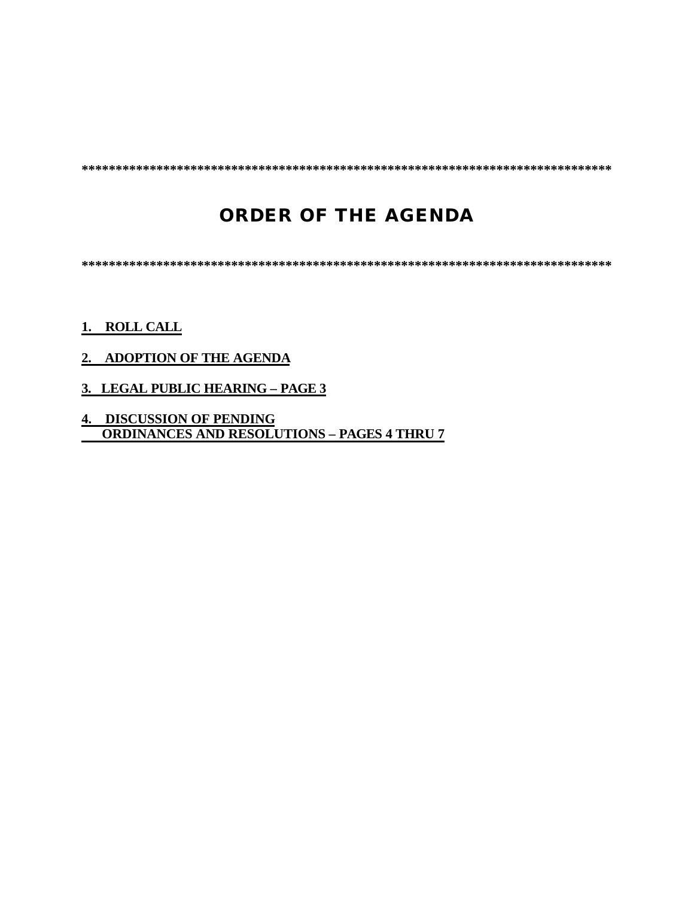**\*\*\*\*\*\*\*\*\*\*\*\*\*\*\*\*\*\*\*\*\*\*\*\*\*\*\*\*\*\*\*\*\*\*\*\*\*\*\*\*\*\*\*\*\*\*\*\*\*\*\*\*\*\*\*\*\*\*\*\*\*\*\*\*\*\*\*\*\*\*\*\*\*\*\*\*\*\***

## **ORDER OF THE AGENDA**

**\*\*\*\*\*\*\*\*\*\*\*\*\*\*\*\*\*\*\*\*\*\*\*\*\*\*\*\*\*\*\*\*\*\*\*\*\*\*\*\*\*\*\*\*\*\*\*\*\*\*\*\*\*\*\*\*\*\*\*\*\*\*\*\*\*\*\*\*\*\*\*\*\*\*\*\*\*\***

### **1. ROLL CALL**

### **2. ADOPTION OF THE AGENDA**

### **3. LEGAL PUBLIC HEARING – PAGE 3**

**4. DISCUSSION OF PENDING ORDINANCES AND RESOLUTIONS – PAGES 4 THRU 7**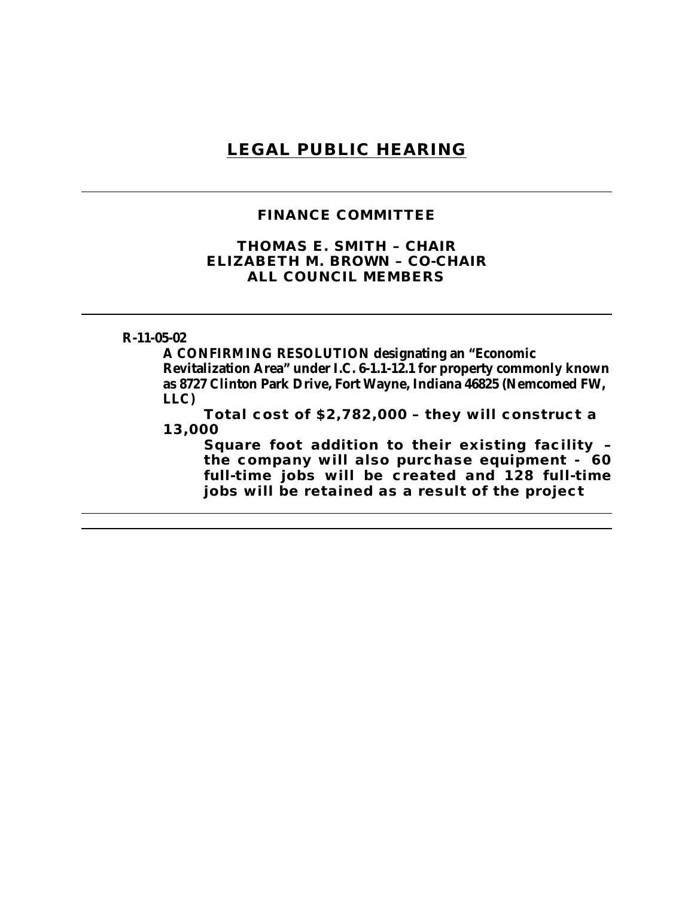### **LEGAL PUBLIC HEARING**

### **FINANCE COMMITTEE**

### **THOMAS E. SMITH – CHAIR ELIZABETH M. BROWN – CO-CHAIR ALL COUNCIL MEMBERS**

#### **R-11-05-02**

**A CONFIRMING RESOLUTION designating an "Economic Revitalization Area" under I.C. 6-1.1-12.1 for property commonly known as 8727 Clinton Park Drive, Fort Wayne, Indiana 46825 (Nemcomed FW, LLC)**

**Total cost of \$2,782,000 – they will construct a 13,000** 

**Square foot addition to their existing facility – the company will also purchase equipment - 60 full-time jobs will be created and 128 full-time jobs will be retained as a result of the project**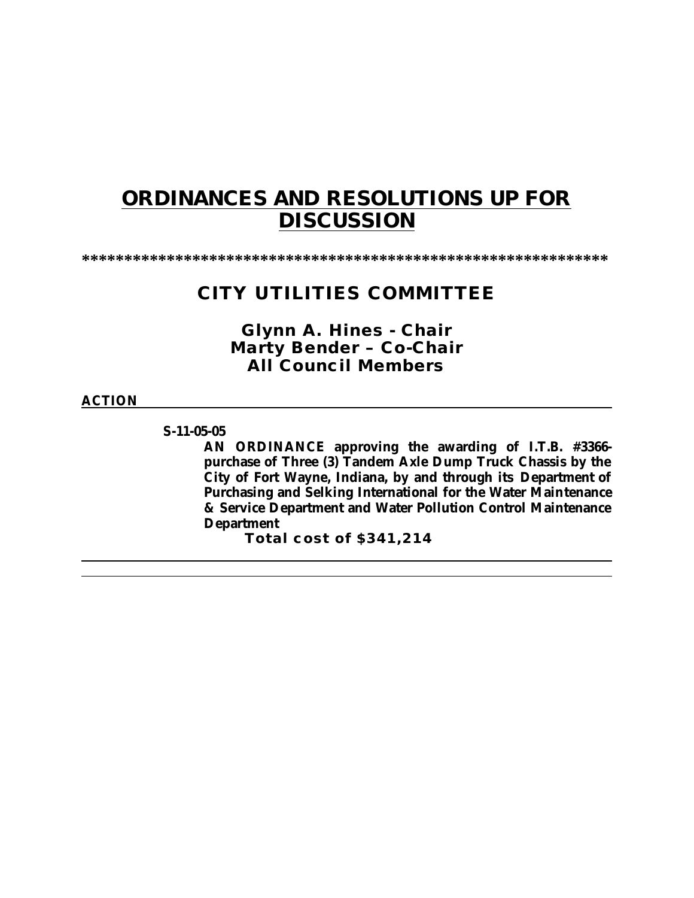# **ORDINANCES AND RESOLUTIONS UP FOR DISCUSSION**

**\*\*\*\*\*\*\*\*\*\*\*\*\*\*\*\*\*\*\*\*\*\*\*\*\*\*\*\*\*\*\*\*\*\*\*\*\*\*\*\*\*\*\*\*\*\*\*\*\*\*\*\*\*\*\*\*\*\*\*\*\*\***

### **CITY UTILITIES COMMITTEE**

*Glynn A. Hines - Chair Marty Bender – Co-Chair All Council Members*

### **ACTION**

**S-11-05-05**

**AN ORDINANCE approving the awarding of I.T.B. #3366 purchase of Three (3) Tandem Axle Dump Truck Chassis by the City of Fort Wayne, Indiana, by and through its Department of Purchasing and Selking International for the Water Maintenance & Service Department and Water Pollution Control Maintenance Department**

**Total cost of \$341,214**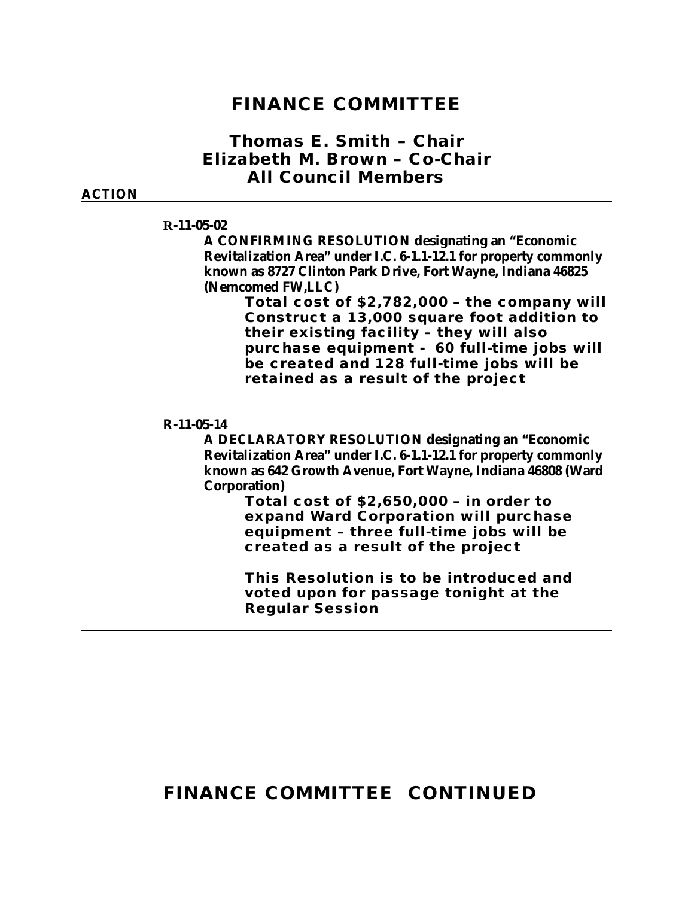### **FINANCE COMMITTEE**

### *Thomas E. Smith* **– Chair** *Elizabeth M. Brown – Co-Chair All Council Members*

#### **ACTION**

### **R-11-05-02**

**A CONFIRMING RESOLUTION designating an "Economic Revitalization Area" under I.C. 6-1.1-12.1 for property commonly known as 8727 Clinton Park Drive, Fort Wayne, Indiana 46825 (Nemcomed FW,LLC)**

> **Total cost of \$2,782,000 – the company will Construct a 13,000 square foot addition to their existing facility – they will also purchase equipment - 60 full-time jobs will be created and 128 full-time jobs will be retained as a result of the project**

#### **R-11-05-14**

**A DECLARATORY RESOLUTION designating an "Economic Revitalization Area" under I.C. 6-1.1-12.1 for property commonly known as 642 Growth Avenue, Fort Wayne, Indiana 46808 (Ward Corporation)**

> **Total cost of \$2,650,000 – in order to expand Ward Corporation will purchase equipment – three full-time jobs will be created as a result of the project**

> **This Resolution is to be introduced and voted upon for passage tonight at the Regular Session**

## **FINANCE COMMITTEE CONTINUED**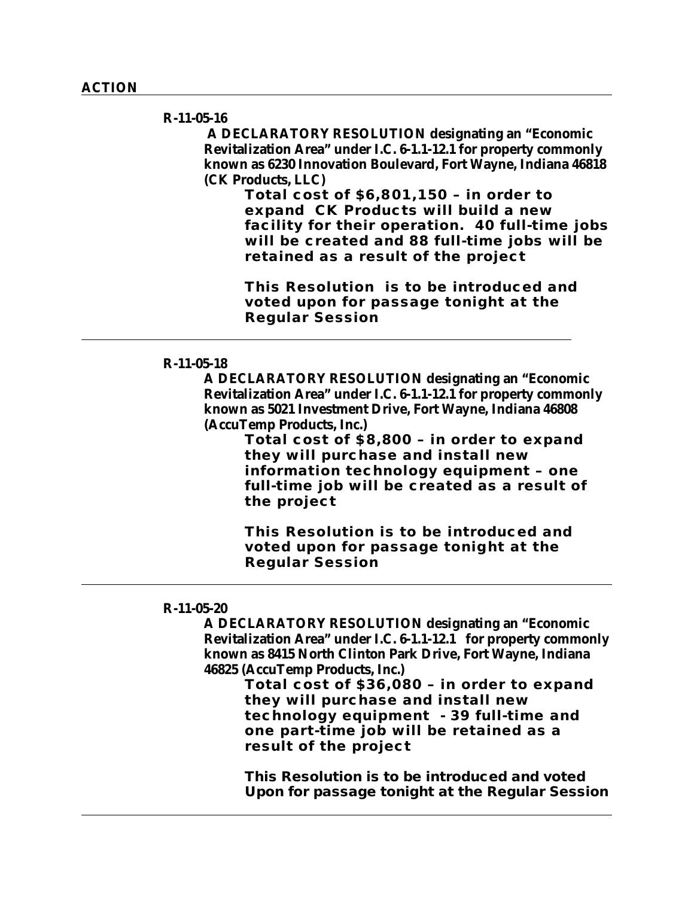#### **R-11-05-16**

 **A DECLARATORY RESOLUTION designating an "Economic Revitalization Area" under I.C. 6-1.1-12.1 for property commonly known as 6230 Innovation Boulevard, Fort Wayne, Indiana 46818 (CK Products, LLC)**

> **Total cost of \$6,801,150 – in order to expand CK Products will build a new facility for their operation. 40 full-time jobs will be created and 88 full-time jobs will be retained as a result of the project**

**This Resolution is to be introduced and voted upon for passage tonight at the Regular Session**

#### **R-11-05-18**

**A DECLARATORY RESOLUTION designating an "Economic Revitalization Area" under I.C. 6-1.1-12.1 for property commonly known as 5021 Investment Drive, Fort Wayne, Indiana 46808 (AccuTemp Products, Inc.)**

> **Total cost of \$8,800 – in order to expand they will purchase and install new information technology equipment – one full-time job will be created as a result of the project**

**This Resolution is to be introduced and voted upon for passage tonight at the Regular Session**

#### **R-11-05-20**

**A DECLARATORY RESOLUTION designating an "Economic Revitalization Area" under I.C. 6-1.1-12.1 for property commonly known as 8415 North Clinton Park Drive, Fort Wayne, Indiana 46825 (AccuTemp Products, Inc.)**

**Total cost of \$36,080 – in order to expand they will purchase and install new technology equipment - 39 full-time and one part-time job will be retained as a result of the project**

**This Resolution is to be introduced and voted Upon for passage tonight at the Regular Session**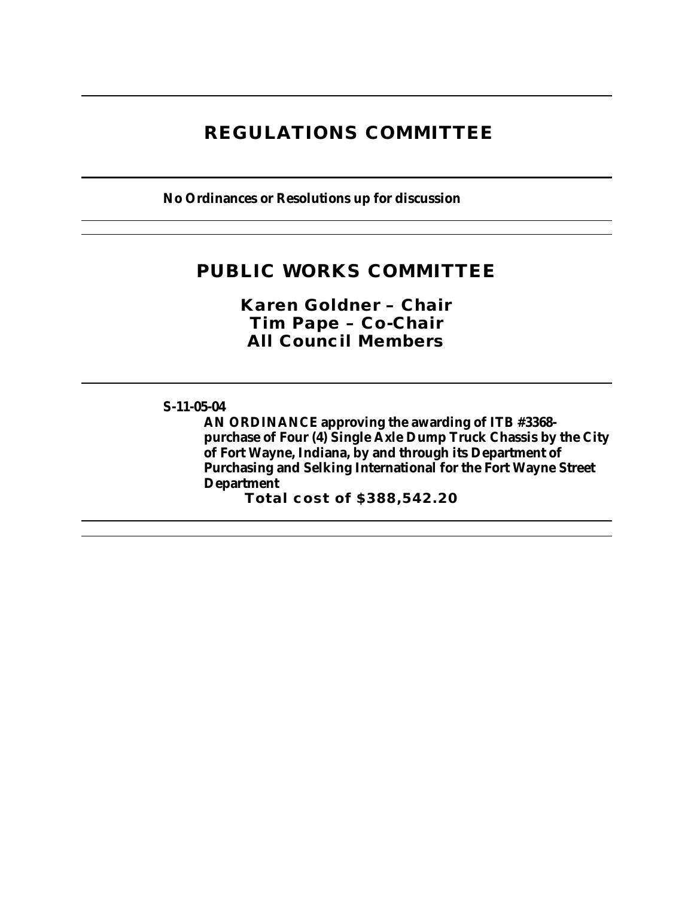## **REGULATIONS COMMITTEE**

**No Ordinances or Resolutions up for discussion**

## **PUBLIC WORKS COMMITTEE**

*Karen Goldner – Chair Tim Pape – Co-Chair All Council Members*

### **S-11-05-04**

**AN ORDINANCE approving the awarding of ITB #3368 purchase of Four (4) Single Axle Dump Truck Chassis by the City of Fort Wayne, Indiana, by and through its Department of Purchasing and Selking International for the Fort Wayne Street Department**

**Total cost of \$388,542.20**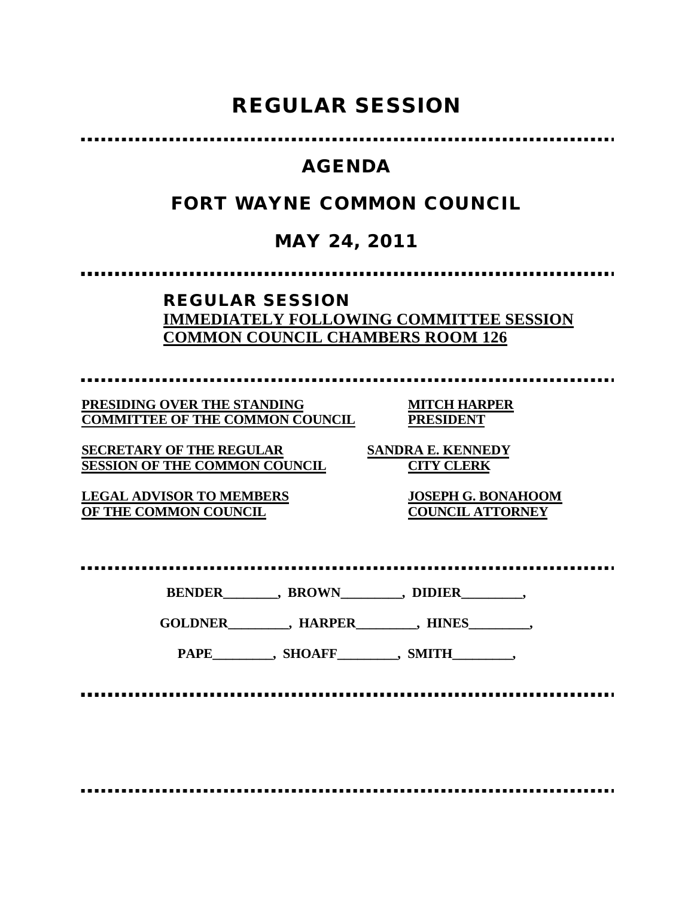# **REGULAR SESSION**

### **AGENDA**

## **FORT WAYNE COMMON COUNCIL**

## **MAY 24, 2011**

### **REGULAR SESSION IMMEDIATELY FOLLOWING COMMITTEE SESSION COMMON COUNCIL CHAMBERS ROOM 126**

**PRESIDING OVER THE STANDING MITCH HARPER COMMITTEE OF THE COMMON COUNCIL PRESIDENT**

**SECRETARY OF THE REGULAR SANDRA E. KENNEDY SESSION OF THE COMMON COUNCIL CITY CLERK**

**LEGAL ADVISOR TO MEMBERS JOSEPH G. BONAHOOM OF THE COMMON COUNCIL COUNCIL ATTORNEY**

**BENDER\_\_\_\_\_\_\_\_, BROWN\_\_\_\_\_\_\_\_\_, DIDIER\_\_\_\_\_\_\_\_\_,**

**GOLDNER\_\_\_\_\_\_\_\_\_, HARPER\_\_\_\_\_\_\_\_\_, HINES\_\_\_\_\_\_\_\_\_,**

PAPE\_\_\_\_\_\_\_\_\_, SHOAFF\_\_\_\_\_\_\_\_, SMITH\_\_\_\_\_\_\_\_,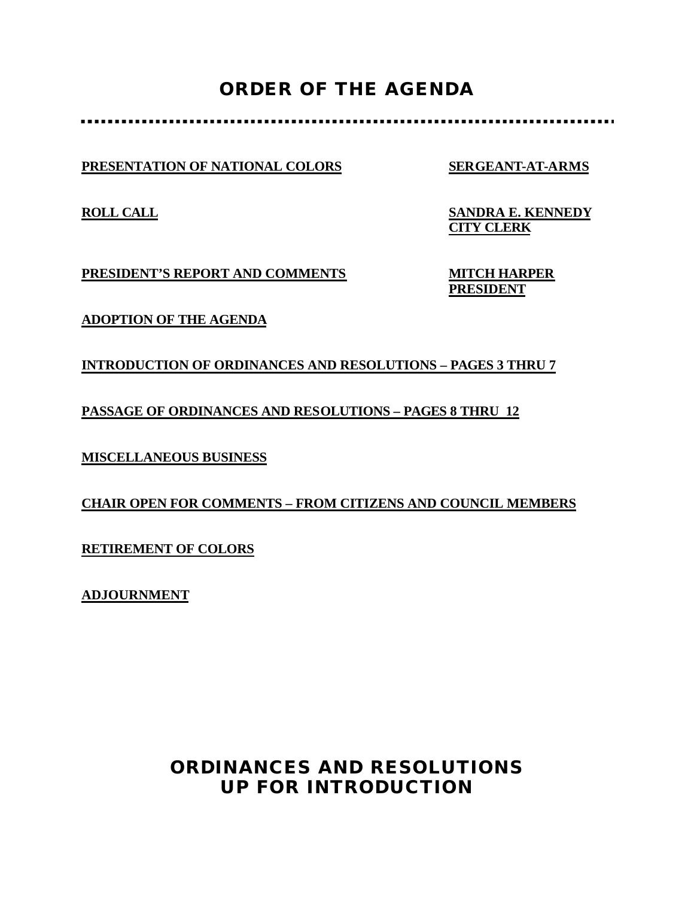## **ORDER OF THE AGENDA**

**PRESENTATION OF NATIONAL COLORS SERGEANT-AT-ARMS**

**ROLL CALL SANDRA E. KENNEDY CITY CLERK**

**PRESIDENT'S REPORT AND COMMENTS MITCH HARPER**

**PRESIDENT**

**ADOPTION OF THE AGENDA**

**INTRODUCTION OF ORDINANCES AND RESOLUTIONS – PAGES 3 THRU 7**

**PASSAGE OF ORDINANCES AND RESOLUTIONS – PAGES 8 THRU 12**

**MISCELLANEOUS BUSINESS**

**CHAIR OPEN FOR COMMENTS – FROM CITIZENS AND COUNCIL MEMBERS**

**RETIREMENT OF COLORS**

**ADJOURNMENT**

## **ORDINANCES AND RESOLUTIONS UP FOR INTRODUCTION**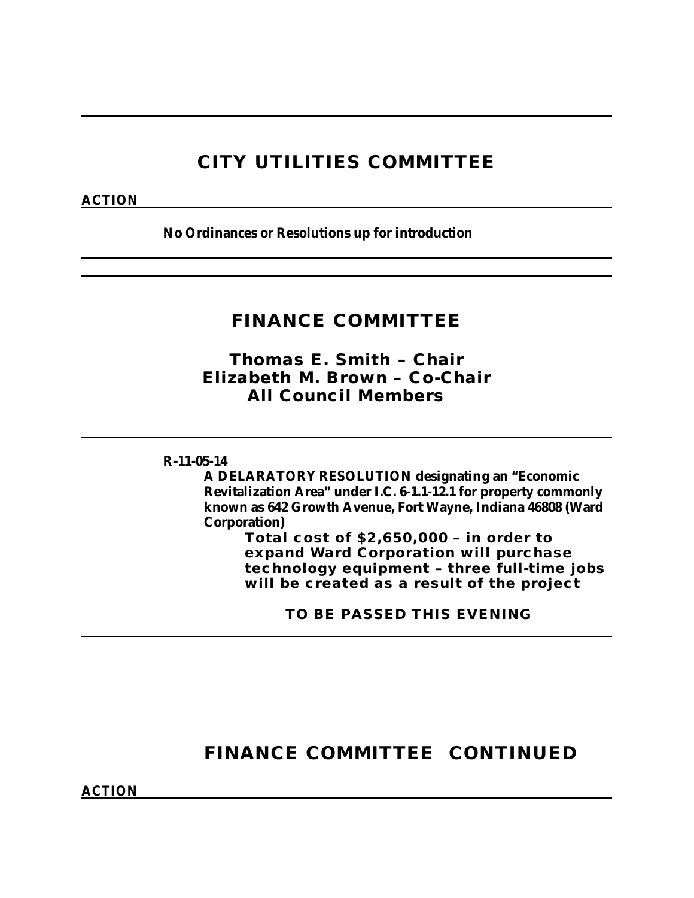## **CITY UTILITIES COMMITTEE**

### **ACTION**

**No Ordinances or Resolutions up for introduction**

## **FINANCE COMMITTEE**

*Thomas E. Smith – Chair Elizabeth M. Brown – Co-Chair All Council Members*

### **R-11-05-14**

**A DELARATORY RESOLUTION designating an "Economic Revitalization Area" under I.C. 6-1.1-12.1 for property commonly known as 642 Growth Avenue, Fort Wayne, Indiana 46808 (Ward Corporation)**

**Total cost of \$2,650,000 – in order to expand Ward Corporation will purchase technology equipment – three full-time jobs will be created as a result of the project**

**TO BE PASSED THIS EVENING**

## **FINANCE COMMITTEE CONTINUED**

**ACTION**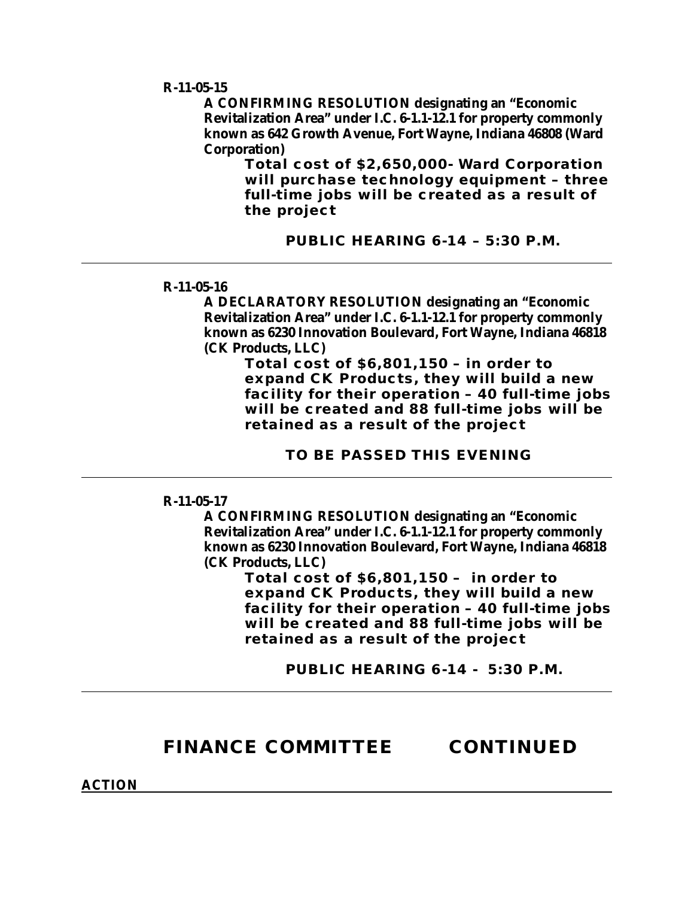**R-11-05-15**

**A CONFIRMING RESOLUTION designating an "Economic Revitalization Area" under I.C. 6-1.1-12.1 for property commonly known as 642 Growth Avenue, Fort Wayne, Indiana 46808 (Ward Corporation)**

> **Total cost of \$2,650,000- Ward Corporation will purchase technology equipment – three full-time jobs will be created as a result of the project**

> > **PUBLIC HEARING 6-14 – 5:30 P.M.**

#### **R-11-05-16**

**A DECLARATORY RESOLUTION designating an "Economic Revitalization Area" under I.C. 6-1.1-12.1 for property commonly known as 6230 Innovation Boulevard, Fort Wayne, Indiana 46818 (CK Products, LLC)**

**Total cost of \$6,801,150 – in order to expand CK Products, they will build a new facility for their operation – 40 full-time jobs will be created and 88 full-time jobs will be retained as a result of the project**

**TO BE PASSED THIS EVENING**

#### **R-11-05-17**

**A CONFIRMING RESOLUTION designating an "Economic Revitalization Area" under I.C. 6-1.1-12.1 for property commonly known as 6230 Innovation Boulevard, Fort Wayne, Indiana 46818 (CK Products, LLC)**

> **Total cost of \$6,801,150 – in order to expand CK Products, they will build a new facility for their operation – 40 full-time jobs will be created and 88 full-time jobs will be retained as a result of the project**

> > **PUBLIC HEARING 6-14 - 5:30 P.M.**

### **FINANCE COMMITTEE CONTINUED**

**ACTION**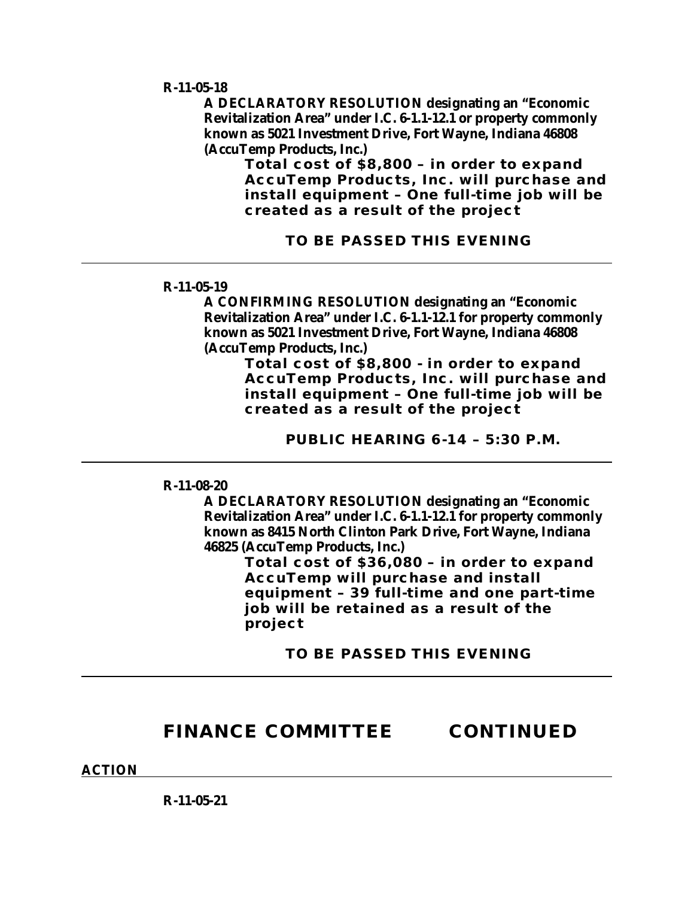**R-11-05-18**

**A DECLARATORY RESOLUTION designating an "Economic Revitalization Area" under I.C. 6-1.1-12.1 or property commonly known as 5021 Investment Drive, Fort Wayne, Indiana 46808 (AccuTemp Products, Inc.)**

**Total cost of \$8,800 – in order to expand AccuTemp Products, Inc. will purchase and install equipment – One full-time job will be created as a result of the project**

**TO BE PASSED THIS EVENING** 

#### **R-11-05-19**

**A CONFIRMING RESOLUTION designating an "Economic Revitalization Area" under I.C. 6-1.1-12.1 for property commonly known as 5021 Investment Drive, Fort Wayne, Indiana 46808 (AccuTemp Products, Inc.)**

**Total cost of \$8,800 - in order to expand AccuTemp Products, Inc. will purchase and install equipment – One full-time job will be created as a result of the project**

**PUBLIC HEARING 6-14 – 5:30 P.M.**

**R-11-08-20**

**A DECLARATORY RESOLUTION designating an "Economic Revitalization Area" under I.C. 6-1.1-12.1 for property commonly known as 8415 North Clinton Park Drive, Fort Wayne, Indiana 46825 (AccuTemp Products, Inc.)**

**Total cost of \$36,080 – in order to expand AccuTemp will purchase and install equipment – 39 full-time and one part-time job will be retained as a result of the project**

**TO BE PASSED THIS EVENING**

### **FINANCE COMMITTEE CONTINUED**

**ACTION**

**R-11-05-21**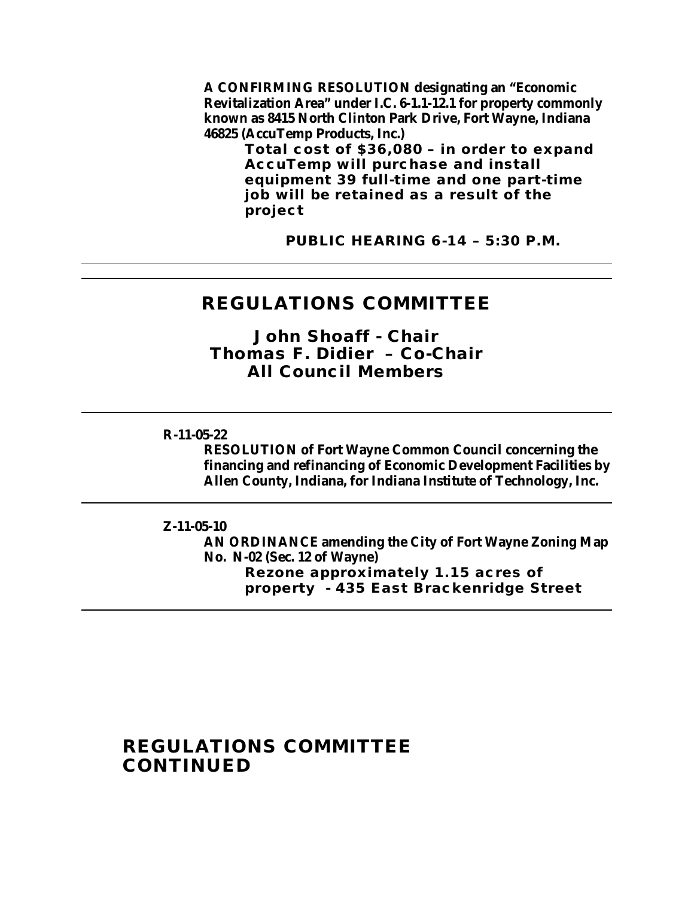**A CONFIRMING RESOLUTION designating an "Economic Revitalization Area" under I.C. 6-1.1-12.1 for property commonly known as 8415 North Clinton Park Drive, Fort Wayne, Indiana 46825 (AccuTemp Products, Inc.)**

> **Total cost of \$36,080 – in order to expand AccuTemp will purchase and install equipment 39 full-time and one part-time job will be retained as a result of the project**

> > **PUBLIC HEARING 6-14 – 5:30 P.M.**

### **REGULATIONS COMMITTEE**

*John Shoaff - Chair Thomas F. Didier – Co-Chair All Council Members*

#### **R-11-05-22**

**RESOLUTION of Fort Wayne Common Council concerning the financing and refinancing of Economic Development Facilities by Allen County, Indiana, for Indiana Institute of Technology, Inc.**

#### **Z-11-05-10**

**AN ORDINANCE amending the City of Fort Wayne Zoning Map No. N-02 (Sec. 12 of Wayne) Rezone approximately 1.15 acres of property - 435 East Brackenridge Street**

## **REGULATIONS COMMITTEE CONTINUED**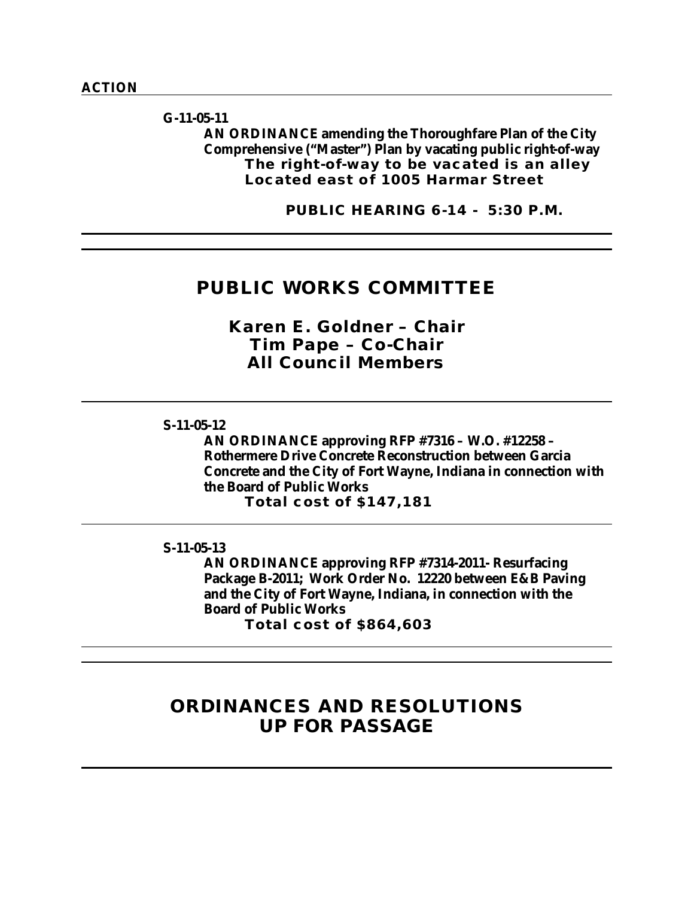**G-11-05-11 AN ORDINANCE amending the Thoroughfare Plan of the City Comprehensive ("Master") Plan by vacating public right-of-way The right-of-way to be vacated is an alley Located east of 1005 Harmar Street** 

**PUBLIC HEARING 6-14 - 5:30 P.M.**

### **PUBLIC WORKS COMMITTEE**

*Karen E. Goldner – Chair Tim Pape – Co-Chair All Council Members*

#### **S-11-05-12**

**AN ORDINANCE approving RFP #7316 – W.O. #12258 – Rothermere Drive Concrete Reconstruction between Garcia Concrete and the City of Fort Wayne, Indiana in connection with the Board of Public Works**

**Total cost of \$147,181**

**S-11-05-13**

**AN ORDINANCE approving RFP #7314-2011- Resurfacing Package B-2011; Work Order No. 12220 between E&B Paving and the City of Fort Wayne, Indiana, in connection with the Board of Public Works**

**Total cost of \$864,603**

## **ORDINANCES AND RESOLUTIONS UP FOR PASSAGE**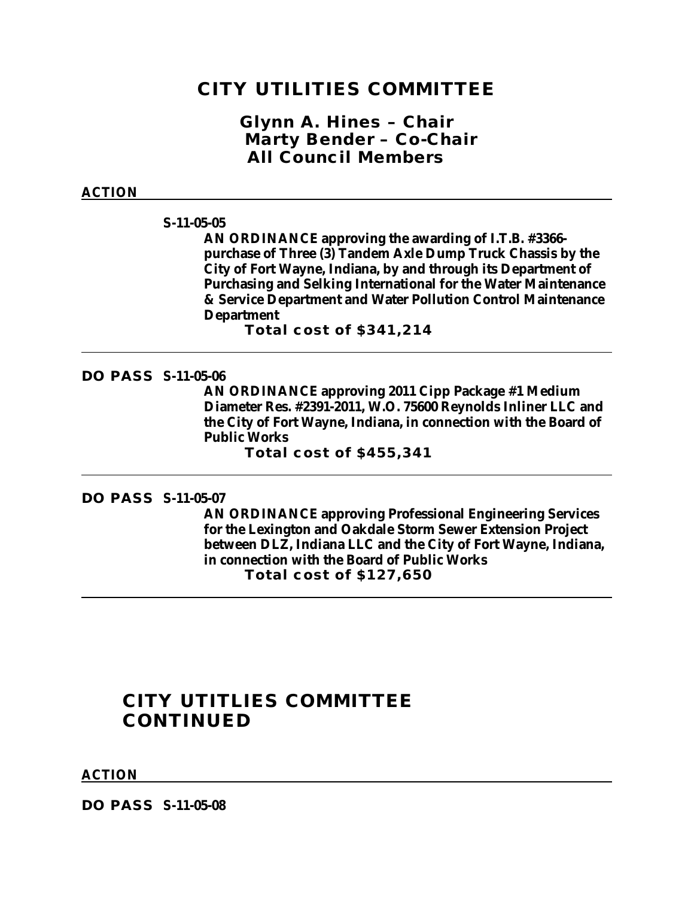### **CITY UTILITIES COMMITTEE**

*Glynn A. Hines – Chair Marty Bender – Co-Chair All Council Members*

#### **ACTION**

#### **S-11-05-05**

**AN ORDINANCE approving the awarding of I.T.B. #3366 purchase of Three (3) Tandem Axle Dump Truck Chassis by the City of Fort Wayne, Indiana, by and through its Department of Purchasing and Selking International for the Water Maintenance & Service Department and Water Pollution Control Maintenance Department**

**Total cost of \$341,214**

### **DO PASS S-11-05-06**

**AN ORDINANCE approving 2011 Cipp Package #1 Medium Diameter Res. #2391-2011, W.O. 75600 Reynolds Inliner LLC and the City of Fort Wayne, Indiana, in connection with the Board of Public Works**

**Total cost of \$455,341**

### **DO PASS S-11-05-07**

**AN ORDINANCE approving Professional Engineering Services for the Lexington and Oakdale Storm Sewer Extension Project between DLZ, Indiana LLC and the City of Fort Wayne, Indiana, in connection with the Board of Public Works Total cost of \$127,650**

### **CITY UTITLIES COMMITTEE CONTINUED**

#### **ACTION**

**DO PASS S-11-05-08**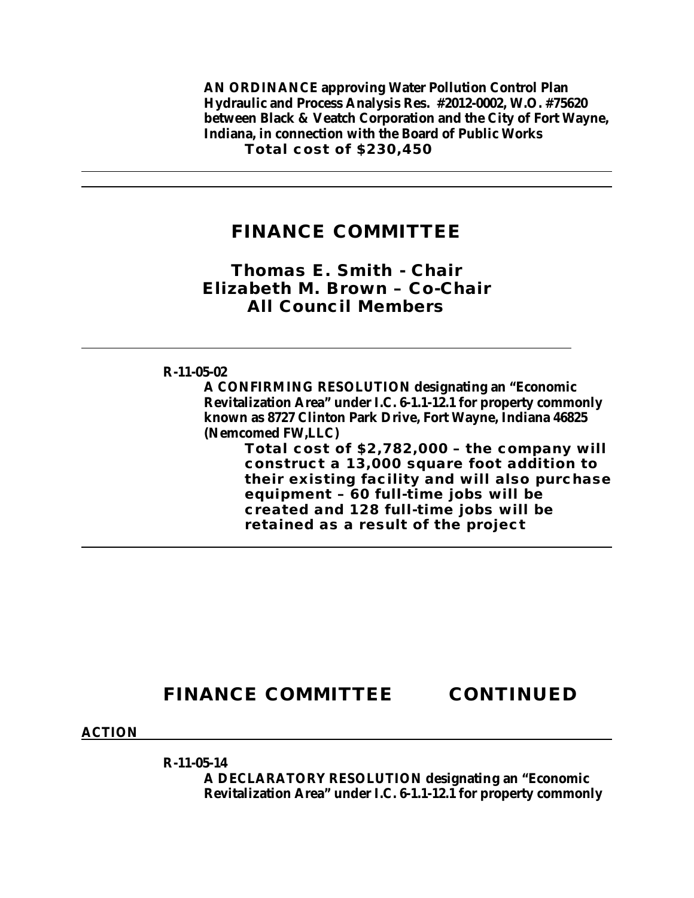**AN ORDINANCE approving Water Pollution Control Plan Hydraulic and Process Analysis Res. #2012-0002, W.O. #75620 between Black & Veatch Corporation and the City of Fort Wayne, Indiana, in connection with the Board of Public Works Total cost of \$230,450**

### **FINANCE COMMITTEE**

### *Thomas E. Smith - Chair Elizabeth M. Brown – Co-Chair All Council Members*

### **R-11-05-02**

**A CONFIRMING RESOLUTION designating an "Economic Revitalization Area" under I.C. 6-1.1-12.1 for property commonly known as 8727 Clinton Park Drive, Fort Wayne, Indiana 46825 (Nemcomed FW,LLC)**

**Total cost of \$2,782,000 – the company will construct a 13,000 square foot addition to their existing facility and will also purchase equipment – 60 full-time jobs will be created and 128 full-time jobs will be retained as a result of the project**

## **FINANCE COMMITTEE CONTINUED**

**ACTION**

**R-11-05-14**

**A DECLARATORY RESOLUTION designating an "Economic Revitalization Area" under I.C. 6-1.1-12.1 for property commonly**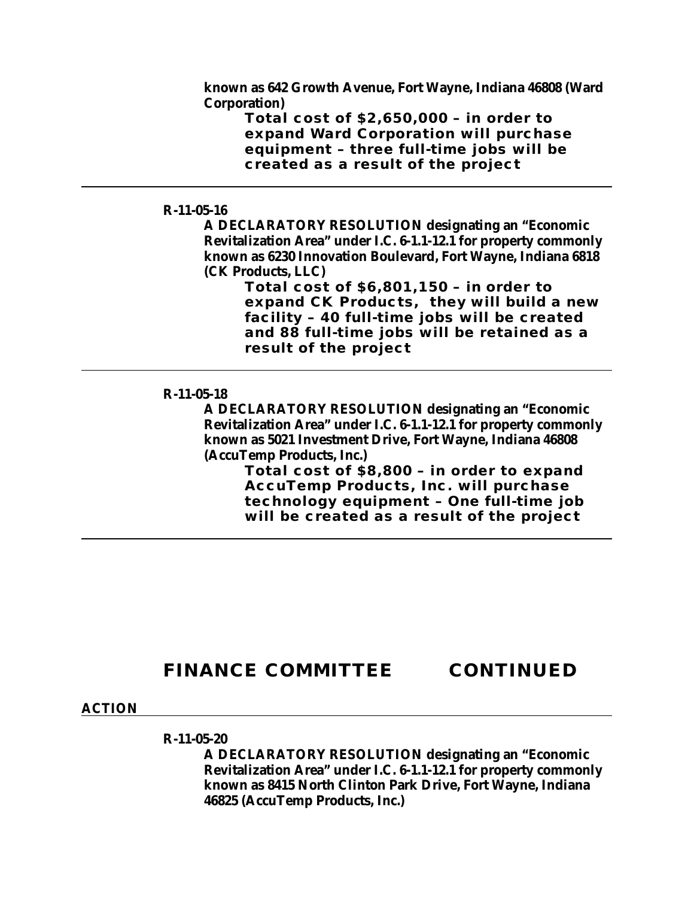**known as 642 Growth Avenue, Fort Wayne, Indiana 46808 (Ward Corporation)**

> **Total cost of \$2,650,000 – in order to expand Ward Corporation will purchase equipment – three full-time jobs will be created as a result of the project**

### **R-11-05-16**

**A DECLARATORY RESOLUTION designating an "Economic Revitalization Area" under I.C. 6-1.1-12.1 for property commonly known as 6230 Innovation Boulevard, Fort Wayne, Indiana 6818 (CK Products, LLC)**

**Total cost of \$6,801,150 – in order to expand CK Products, they will build a new facility – 40 full-time jobs will be created and 88 full-time jobs will be retained as a result of the project**

### **R-11-05-18**

**A DECLARATORY RESOLUTION designating an "Economic Revitalization Area" under I.C. 6-1.1-12.1 for property commonly known as 5021 Investment Drive, Fort Wayne, Indiana 46808 (AccuTemp Products, Inc.)**

> **Total cost of \$8,800 – in order to expand AccuTemp Products, Inc. will purchase technology equipment – One full-time job will be created as a result of the project**

## **FINANCE COMMITTEE CONTINUED**

#### **ACTION**

#### **R-11-05-20**

**A DECLARATORY RESOLUTION designating an "Economic Revitalization Area" under I.C. 6-1.1-12.1 for property commonly known as 8415 North Clinton Park Drive, Fort Wayne, Indiana 46825 (AccuTemp Products, Inc.)**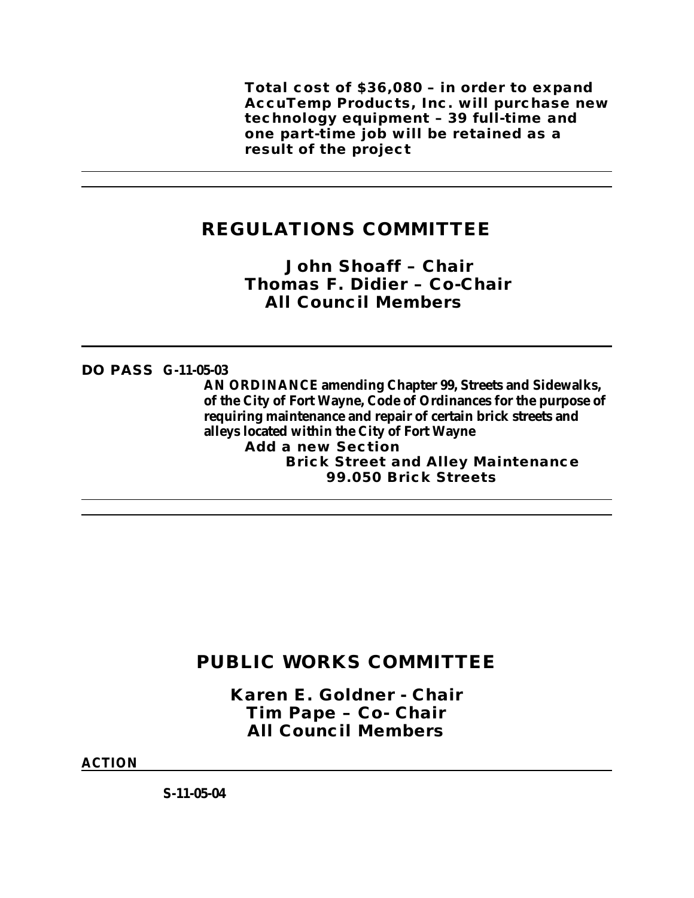**Total cost of \$36,080 – in order to expand AccuTemp Products, Inc. will purchase new technology equipment – 39 full-time and one part-time job will be retained as a result of the project**

## **REGULATIONS COMMITTEE**

*John Shoaff – Chair Thomas F. Didier – Co-Chair All Council Members*

### **DO PASS G-11-05-03**

**AN ORDINANCE amending Chapter 99, Streets and Sidewalks, of the City of Fort Wayne, Code of Ordinances for the purpose of requiring maintenance and repair of certain brick streets and alleys located within the City of Fort Wayne Add a new Section Brick Street and Alley Maintenance 99.050 Brick Streets**

## **PUBLIC WORKS COMMITTEE**

*Karen E. Goldner - Chair Tim Pape – Co- Chair All Council Members*

**ACTION**

**S-11-05-04**